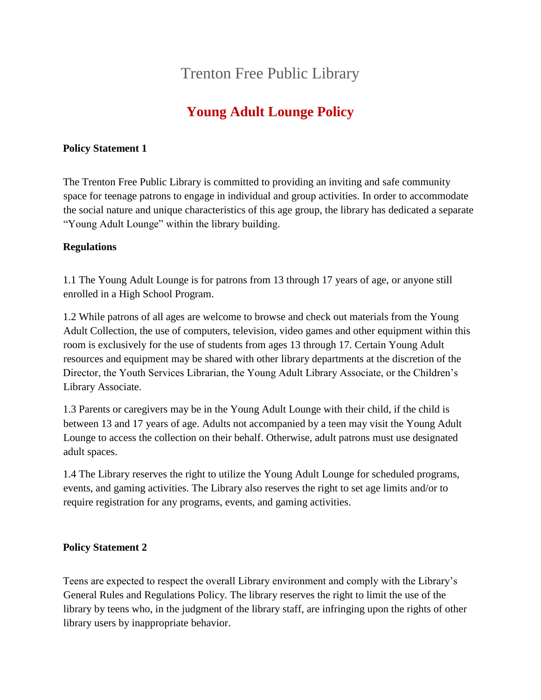# Trenton Free Public Library

# **Young Adult Lounge Policy**

## **Policy Statement 1**

The Trenton Free Public Library is committed to providing an inviting and safe community space for teenage patrons to engage in individual and group activities. In order to accommodate the social nature and unique characteristics of this age group, the library has dedicated a separate "Young Adult Lounge" within the library building.

## **Regulations**

1.1 The Young Adult Lounge is for patrons from 13 through 17 years of age, or anyone still enrolled in a High School Program.

1.2 While patrons of all ages are welcome to browse and check out materials from the Young Adult Collection, the use of computers, television, video games and other equipment within this room is exclusively for the use of students from ages 13 through 17. Certain Young Adult resources and equipment may be shared with other library departments at the discretion of the Director, the Youth Services Librarian, the Young Adult Library Associate, or the Children's Library Associate.

1.3 Parents or caregivers may be in the Young Adult Lounge with their child, if the child is between 13 and 17 years of age. Adults not accompanied by a teen may visit the Young Adult Lounge to access the collection on their behalf. Otherwise, adult patrons must use designated adult spaces.

1.4 The Library reserves the right to utilize the Young Adult Lounge for scheduled programs, events, and gaming activities. The Library also reserves the right to set age limits and/or to require registration for any programs, events, and gaming activities.

## **Policy Statement 2**

Teens are expected to respect the overall Library environment and comply with the Library's General Rules and Regulations Policy. The library reserves the right to limit the use of the library by teens who, in the judgment of the library staff, are infringing upon the rights of other library users by inappropriate behavior.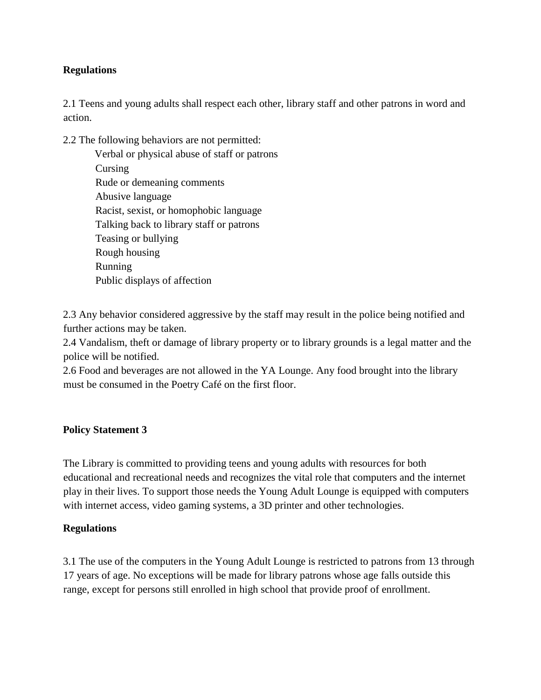## **Regulations**

2.1 Teens and young adults shall respect each other, library staff and other patrons in word and action.

2.2 The following behaviors are not permitted: Verbal or physical abuse of staff or patrons Cursing Rude or demeaning comments Abusive language Racist, sexist, or homophobic language Talking back to library staff or patrons Teasing or bullying Rough housing Running Public displays of affection

2.3 Any behavior considered aggressive by the staff may result in the police being notified and further actions may be taken.

2.4 Vandalism, theft or damage of library property or to library grounds is a legal matter and the police will be notified.

2.6 Food and beverages are not allowed in the YA Lounge. Any food brought into the library must be consumed in the Poetry Café on the first floor.

#### **Policy Statement 3**

The Library is committed to providing teens and young adults with resources for both educational and recreational needs and recognizes the vital role that computers and the internet play in their lives. To support those needs the Young Adult Lounge is equipped with computers with internet access, video gaming systems, a 3D printer and other technologies.

#### **Regulations**

3.1 The use of the computers in the Young Adult Lounge is restricted to patrons from 13 through 17 years of age. No exceptions will be made for library patrons whose age falls outside this range, except for persons still enrolled in high school that provide proof of enrollment.